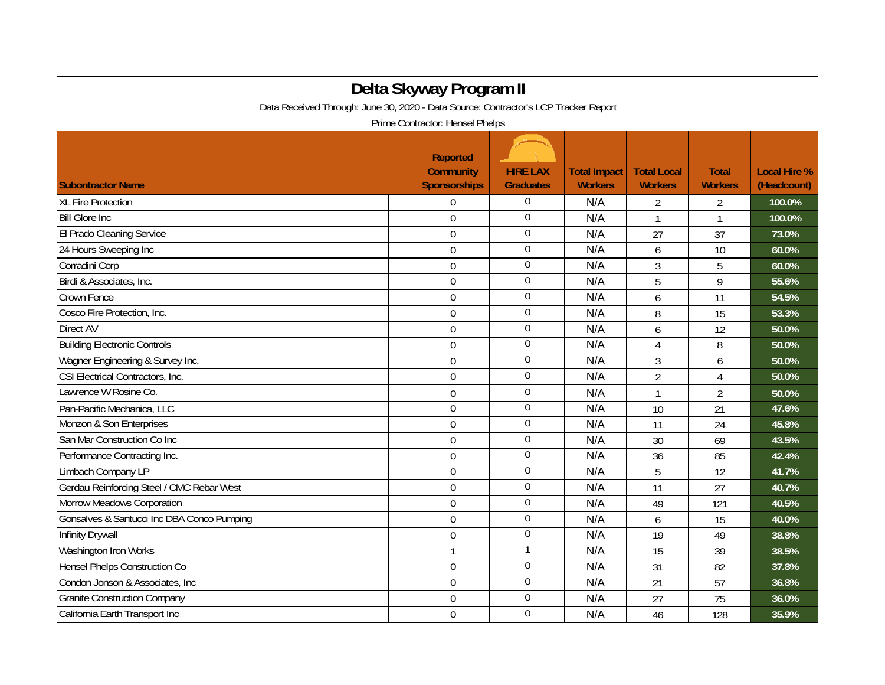| Delta Skyway Program II<br>Data Received Through: June 30, 2020 - Data Source: Contractor's LCP Tracker Report |                                                            |                                     |                                       |                                      |                                |                                    |  |  |  |
|----------------------------------------------------------------------------------------------------------------|------------------------------------------------------------|-------------------------------------|---------------------------------------|--------------------------------------|--------------------------------|------------------------------------|--|--|--|
| Prime Contractor: Hensel Phelps                                                                                |                                                            |                                     |                                       |                                      |                                |                                    |  |  |  |
| <b>Subontractor Name</b>                                                                                       | <b>Reported</b><br><b>Community</b><br><b>Sponsorships</b> | <b>HIRE LAX</b><br><b>Graduates</b> | <b>Total Impact</b><br><b>Workers</b> | <b>Total Local</b><br><b>Workers</b> | <b>Total</b><br><b>Workers</b> | <b>Local Hire %</b><br>(Headcount) |  |  |  |
| <b>XL Fire Protection</b>                                                                                      | $\Omega$                                                   | $\Omega$                            | N/A                                   | 2                                    | 2                              | 100.0%                             |  |  |  |
| <b>Bill Glore Inc</b>                                                                                          | $\mathbf 0$                                                | $\mathbf 0$                         | N/A                                   | $\mathbf{1}$                         | 1                              | 100.0%                             |  |  |  |
| El Prado Cleaning Service                                                                                      | $\overline{0}$                                             | $\mathbf 0$                         | N/A                                   | 27                                   | 37                             | 73.0%                              |  |  |  |
| 24 Hours Sweeping Inc                                                                                          | $\mathbf 0$                                                | 0                                   | N/A                                   | 6                                    | 10                             | 60.0%                              |  |  |  |
| Corradini Corp                                                                                                 | $\overline{0}$                                             | $\mathbf 0$                         | N/A                                   | 3                                    | 5                              | 60.0%                              |  |  |  |
| Birdi & Associates, Inc.                                                                                       | $\Omega$                                                   | $\mathbf 0$                         | N/A                                   | 5                                    | 9                              | 55.6%                              |  |  |  |
| Crown Fence                                                                                                    | $\mathbf 0$                                                | 0                                   | N/A                                   | 6                                    | 11                             | 54.5%                              |  |  |  |
| Cosco Fire Protection, Inc.                                                                                    | $\mathbf 0$                                                | $\overline{0}$                      | N/A                                   | 8                                    | 15                             | 53.3%                              |  |  |  |
| Direct AV                                                                                                      | $\mathbf 0$                                                | $\boldsymbol{0}$                    | N/A                                   | 6                                    | 12                             | 50.0%                              |  |  |  |
| <b>Building Electronic Controls</b>                                                                            | $\mathbf 0$                                                | $\boldsymbol{0}$                    | N/A                                   | $\overline{4}$                       | 8                              | 50.0%                              |  |  |  |
| Wagner Engineering & Survey Inc.                                                                               | $\Omega$                                                   | $\overline{0}$                      | N/A                                   | $\mathfrak{Z}$                       | 6                              | 50.0%                              |  |  |  |
| CSI Electrical Contractors, Inc.                                                                               | $\overline{0}$                                             | $\overline{0}$                      | N/A                                   | $\overline{2}$                       | 4                              | 50.0%                              |  |  |  |
| Lawrence W Rosine Co.                                                                                          | $\mathbf 0$                                                | $\mathbf 0$                         | N/A                                   | $\mathbf{1}$                         | $\overline{2}$                 | 50.0%                              |  |  |  |
| Pan-Pacific Mechanica, LLC                                                                                     | $\mathbf 0$                                                | $\overline{0}$                      | N/A                                   | 10                                   | 21                             | 47.6%                              |  |  |  |
| Monzon & Son Enterprises                                                                                       | $\mathbf 0$                                                | $\boldsymbol{0}$                    | N/A                                   | 11                                   | 24                             | 45.8%                              |  |  |  |
| San Mar Construction Co Inc                                                                                    | $\mathbf 0$                                                | $\mathbf 0$                         | N/A                                   | 30                                   | 69                             | 43.5%                              |  |  |  |
| Performance Contracting Inc.                                                                                   | $\Omega$                                                   | $\overline{0}$                      | N/A                                   | 36                                   | 85                             | 42.4%                              |  |  |  |
| Limbach Company LP                                                                                             | $\overline{0}$                                             | $\overline{0}$                      | N/A                                   | 5                                    | 12                             | 41.7%                              |  |  |  |
| Gerdau Reinforcing Steel / CMC Rebar West                                                                      | $\mathbf 0$                                                | 0                                   | N/A                                   | 11                                   | 27                             | 40.7%                              |  |  |  |
| Morrow Meadows Corporation                                                                                     | $\mathbf 0$                                                | $\boldsymbol{0}$                    | N/A                                   | 49                                   | 121                            | 40.5%                              |  |  |  |
| Gonsalves & Santucci Inc DBA Conco Pumping                                                                     | $\mathbf 0$                                                | $\boldsymbol{0}$                    | N/A                                   | 6                                    | 15                             | 40.0%                              |  |  |  |
| Infinity Drywall                                                                                               | $\overline{0}$                                             | $\overline{0}$                      | N/A                                   | 19                                   | 49                             | 38.8%                              |  |  |  |
| Washington Iron Works                                                                                          | $\mathbf{1}$                                               | $\mathbf{1}$                        | N/A                                   | 15                                   | 39                             | 38.5%                              |  |  |  |
| Hensel Phelps Construction Co                                                                                  | $\Omega$                                                   | $\mathbf 0$                         | N/A                                   | 31                                   | 82                             | 37.8%                              |  |  |  |
| Condon Jonson & Associates, Inc.                                                                               | $\mathbf 0$                                                | 0                                   | N/A                                   | 21                                   | 57                             | 36.8%                              |  |  |  |
| <b>Granite Construction Company</b>                                                                            | $\mathbf 0$                                                | $\overline{0}$                      | N/A                                   | 27                                   | 75                             | 36.0%                              |  |  |  |
| California Earth Transport Inc                                                                                 | $\mathbf 0$                                                | $\mathbf 0$                         | N/A                                   | 46                                   | 128                            | 35.9%                              |  |  |  |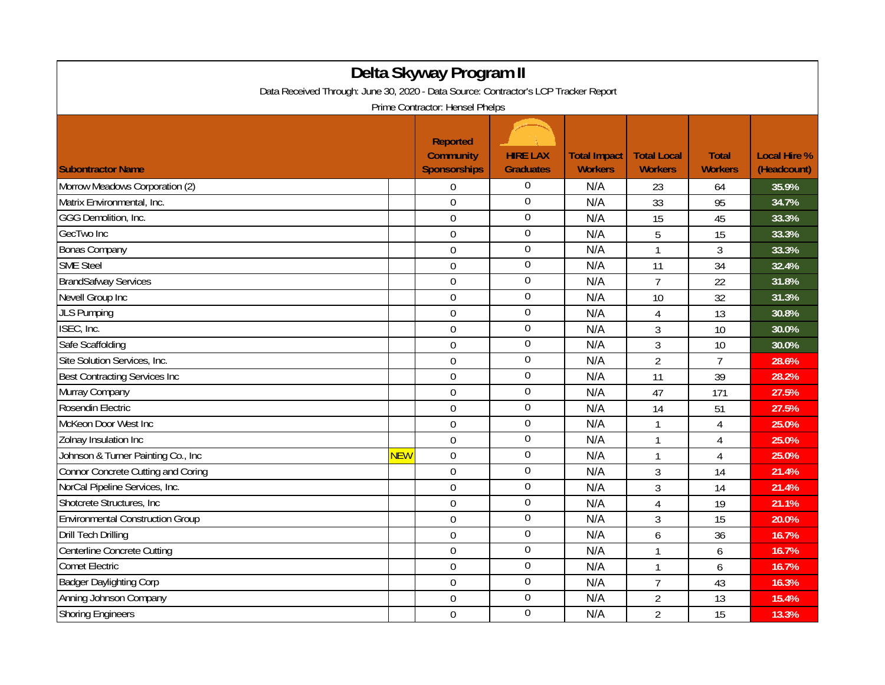| Delta Skyway Program II                                                                                                |            |                                                            |                                     |                                       |                                      |                                |                                    |  |
|------------------------------------------------------------------------------------------------------------------------|------------|------------------------------------------------------------|-------------------------------------|---------------------------------------|--------------------------------------|--------------------------------|------------------------------------|--|
| Data Received Through: June 30, 2020 - Data Source: Contractor's LCP Tracker Report<br>Prime Contractor: Hensel Phelps |            |                                                            |                                     |                                       |                                      |                                |                                    |  |
| <b>Subontractor Name</b>                                                                                               |            | <b>Reported</b><br><b>Community</b><br><b>Sponsorships</b> | <b>HIRE LAX</b><br><b>Graduates</b> | <b>Total Impact</b><br><b>Workers</b> | <b>Total Local</b><br><b>Workers</b> | <b>Total</b><br><b>Workers</b> | <b>Local Hire %</b><br>(Headcount) |  |
| Morrow Meadows Corporation (2)                                                                                         |            | $\mathbf 0$                                                | $\Omega$                            | N/A                                   | 23                                   | 64                             | 35.9%                              |  |
| Matrix Environmental, Inc.                                                                                             |            | 0                                                          | $\mathbf 0$                         | N/A                                   | 33                                   | 95                             | 34.7%                              |  |
| GGG Demolition, Inc.                                                                                                   |            | $\overline{0}$                                             | $\boldsymbol{0}$                    | N/A                                   | 15                                   | 45                             | 33.3%                              |  |
| GecTwo Inc                                                                                                             |            | $\mathbf 0$                                                | $\mathbf 0$                         | N/A                                   | 5                                    | 15                             | 33.3%                              |  |
| <b>Bonas Company</b>                                                                                                   |            | $\overline{0}$                                             | $\overline{0}$                      | N/A                                   | $\mathbf{1}$                         | 3                              | 33.3%                              |  |
| <b>SME Steel</b>                                                                                                       |            | $\mathbf 0$                                                | $\mathbf 0$                         | N/A                                   | 11                                   | 34                             | 32.4%                              |  |
| <b>BrandSafway Services</b>                                                                                            |            | 0                                                          | $\bf{0}$                            | N/A                                   | $\overline{7}$                       | 22                             | 31.8%                              |  |
| Nevell Group Inc                                                                                                       |            | $\overline{0}$                                             | $\overline{0}$                      | N/A                                   | 10                                   | 32                             | 31.3%                              |  |
| <b>JLS Pumping</b>                                                                                                     |            | $\overline{0}$                                             | 0                                   | N/A                                   | 4                                    | 13                             | 30.8%                              |  |
| ISEC, Inc.                                                                                                             |            | $\mathbf 0$                                                | $\overline{0}$                      | N/A                                   | 3                                    | 10                             | 30.0%                              |  |
| Safe Scaffolding                                                                                                       |            | $\overline{0}$                                             | $\mathbf 0$                         | N/A                                   | 3                                    | 10                             | 30.0%                              |  |
| Site Solution Services, Inc.                                                                                           |            | 0                                                          | $\overline{0}$                      | N/A                                   | $\overline{2}$                       | $\overline{7}$                 | 28.6%                              |  |
| <b>Best Contracting Services Inc</b>                                                                                   |            | $\overline{0}$                                             | $\overline{0}$                      | N/A                                   | 11                                   | 39                             | 28.2%                              |  |
| Murray Company                                                                                                         |            | $\overline{0}$                                             | $\overline{0}$                      | N/A                                   | 47                                   | 171                            | 27.5%                              |  |
| Rosendin Electric                                                                                                      |            | $\mathbf 0$                                                | $\boldsymbol{0}$                    | N/A                                   | 14                                   | 51                             | 27.5%                              |  |
| McKeon Door West Inc                                                                                                   |            | $\mathbf 0$                                                | $\boldsymbol{0}$                    | N/A                                   | 1                                    | $\overline{4}$                 | 25.0%                              |  |
| Zolnay Insulation Inc                                                                                                  |            | $\mathbf 0$                                                | $\boldsymbol{0}$                    | N/A                                   | $\mathbf{1}$                         | $\overline{4}$                 | 25.0%                              |  |
| Johnson & Turner Painting Co., Inc.                                                                                    | <b>NEW</b> | $\overline{0}$                                             | $\boldsymbol{0}$                    | N/A                                   | $\mathbf{1}$                         | $\overline{4}$                 | 25.0%                              |  |
| <b>Connor Concrete Cutting and Coring</b>                                                                              |            | $\mathbf 0$                                                | $\mathbf 0$                         | N/A                                   | 3                                    | 14                             | 21.4%                              |  |
| NorCal Pipeline Services, Inc.                                                                                         |            | 0                                                          | $\boldsymbol{0}$                    | N/A                                   | 3                                    | 14                             | 21.4%                              |  |
| Shotcrete Structures, Inc.                                                                                             |            | $\overline{0}$                                             | $\overline{0}$                      | N/A                                   | 4                                    | 19                             | 21.1%                              |  |
| <b>Environmental Construction Group</b>                                                                                |            | $\overline{0}$                                             | $\boldsymbol{0}$                    | N/A                                   | 3                                    | 15                             | 20.0%                              |  |
| <b>Drill Tech Drilling</b>                                                                                             |            | $\overline{0}$                                             | $\overline{0}$                      | N/A                                   | 6                                    | 36                             | 16.7%                              |  |
| Centerline Concrete Cutting                                                                                            |            | $\mathbf 0$                                                | $\mathbf 0$                         | N/A                                   | 1                                    | 6                              | 16.7%                              |  |
| <b>Comet Electric</b>                                                                                                  |            | $\mathbf 0$                                                | $\overline{0}$                      | N/A                                   | $\mathbf{1}$                         | 6                              | 16.7%                              |  |
| <b>Badger Daylighting Corp</b>                                                                                         |            | $\overline{0}$                                             | $\overline{0}$                      | N/A                                   | $\overline{7}$                       | 43                             | 16.3%                              |  |
| Anning Johnson Company                                                                                                 |            | $\overline{0}$                                             | $\overline{0}$                      | N/A                                   | $\overline{2}$                       | 13                             | 15.4%                              |  |
| <b>Shoring Engineers</b>                                                                                               |            | $\mathbf 0$                                                | $\overline{0}$                      | N/A                                   | $\overline{2}$                       | 15                             | 13.3%                              |  |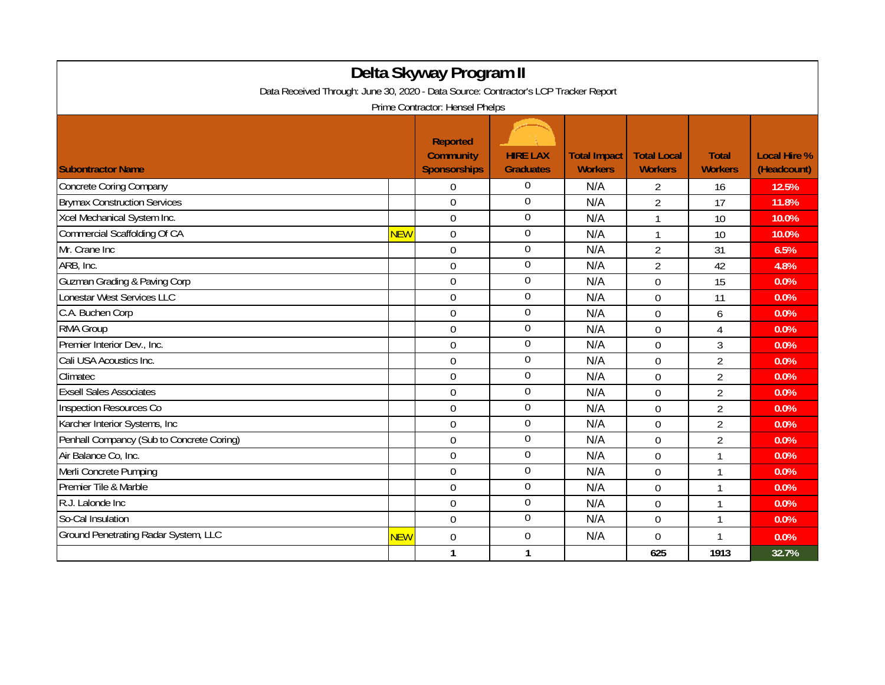|                                                                                     |            | Delta Skyway Program II                                    |                                     |                                       |                                      |                                |                                    |  |
|-------------------------------------------------------------------------------------|------------|------------------------------------------------------------|-------------------------------------|---------------------------------------|--------------------------------------|--------------------------------|------------------------------------|--|
| Data Received Through: June 30, 2020 - Data Source: Contractor's LCP Tracker Report |            |                                                            |                                     |                                       |                                      |                                |                                    |  |
| Prime Contractor: Hensel Phelps                                                     |            |                                                            |                                     |                                       |                                      |                                |                                    |  |
| <b>Subontractor Name</b>                                                            |            | <b>Reported</b><br><b>Community</b><br><b>Sponsorships</b> | <b>HIRE LAX</b><br><b>Graduates</b> | <b>Total Impact</b><br><b>Workers</b> | <b>Total Local</b><br><b>Workers</b> | <b>Total</b><br><b>Workers</b> | <b>Local Hire %</b><br>(Headcount) |  |
| <b>Concrete Coring Company</b>                                                      |            | $\Omega$                                                   | $\Omega$                            | N/A                                   | 2                                    | 16                             | 12.5%                              |  |
| <b>Brymax Construction Services</b>                                                 |            | $\overline{0}$                                             | $\mathbf 0$                         | N/A                                   | $\overline{2}$                       | 17                             | 11.8%                              |  |
| Xcel Mechanical System Inc.                                                         |            | $\overline{0}$                                             | $\boldsymbol{0}$                    | N/A                                   | $\mathbf{1}$                         | 10                             | 10.0%                              |  |
| Commercial Scaffolding Of CA                                                        | <b>NEW</b> | $\overline{0}$                                             | $\mathbf 0$                         | N/A                                   | $\mathbf{1}$                         | 10                             | 10.0%                              |  |
| Mr. Crane Inc                                                                       |            | $\overline{0}$                                             | $\boldsymbol{0}$                    | N/A                                   | $\overline{2}$                       | 31                             | 6.5%                               |  |
| ARB, Inc.                                                                           |            | $\mathbf 0$                                                | $\boldsymbol{0}$                    | N/A                                   | $\overline{2}$                       | 42                             | 4.8%                               |  |
| <b>Guzman Grading &amp; Paving Corp</b>                                             |            | 0                                                          | $\mathbf 0$                         | N/A                                   | 0                                    | 15                             | 0.0%                               |  |
| <b>Lonestar West Services LLC</b>                                                   |            | $\overline{0}$                                             | $\boldsymbol{0}$                    | N/A                                   | $\Omega$                             | 11                             | 0.0%                               |  |
| C.A. Buchen Corp                                                                    |            | $\overline{0}$                                             | $\boldsymbol{0}$                    | N/A                                   | $\overline{0}$                       | 6                              | 0.0%                               |  |
| <b>RMA Group</b>                                                                    |            | $\mathbf 0$                                                | $\boldsymbol{0}$                    | N/A                                   | $\mathbf 0$                          | $\overline{4}$                 | 0.0%                               |  |
| Premier Interior Dev., Inc.                                                         |            | $\overline{0}$                                             | $\mathbf 0$                         | N/A                                   | $\mathbf 0$                          | 3                              | $0.0\%$                            |  |
| Cali USA Acoustics Inc.                                                             |            | $\overline{0}$                                             | $\boldsymbol{0}$                    | N/A                                   | $\overline{0}$                       | $\overline{2}$                 | 0.0%                               |  |
| Climatec                                                                            |            | 0                                                          | $\boldsymbol{0}$                    | N/A                                   | 0                                    | $\overline{2}$                 | 0.0%                               |  |
| <b>Exsell Sales Associates</b>                                                      |            | $\overline{0}$                                             | $\boldsymbol{0}$                    | N/A                                   | $\Omega$                             | $\overline{2}$                 | 0.0%                               |  |
| Inspection Resources Co                                                             |            | $\overline{0}$                                             | $\mathbf 0$                         | N/A                                   | $\Omega$                             | $\overline{2}$                 | 0.0%                               |  |
| Karcher Interior Systems, Inc                                                       |            | $\overline{0}$                                             | $\boldsymbol{0}$                    | N/A                                   | $\mathbf 0$                          | $\overline{2}$                 | 0.0%                               |  |
| Penhall Compancy (Sub to Concrete Coring)                                           |            | $\Omega$                                                   | $\boldsymbol{0}$                    | N/A                                   | $\mathbf 0$                          | $\overline{2}$                 | 0.0%                               |  |
| Air Balance Co, Inc.                                                                |            | $\Omega$                                                   | $\overline{0}$                      | N/A                                   | $\Omega$                             | $\mathbf{1}$                   | 0.0%                               |  |
| Merli Concrete Pumping                                                              |            | 0                                                          | $\boldsymbol{0}$                    | N/A                                   | $\mathbf 0$                          | $\mathbf{1}$                   | 0.0%                               |  |
| Premier Tile & Marble                                                               |            | $\Omega$                                                   | $\boldsymbol{0}$                    | N/A                                   | $\mathbf 0$                          | 1                              | 0.0%                               |  |
| R.J. Lalonde Inc                                                                    |            | $\overline{0}$                                             | $\overline{0}$                      | N/A                                   | 0                                    | $\mathbf 1$                    | 0.0%                               |  |
| So-Cal Insulation                                                                   |            | $\overline{0}$                                             | $\overline{0}$                      | N/A                                   | $\mathbf 0$                          | $\mathbf{1}$                   | 0.0%                               |  |
| Ground Penetrating Radar System, LLC                                                | <b>NEW</b> | $\overline{0}$                                             | $\boldsymbol{0}$                    | N/A                                   | $\mathbf 0$                          | 1                              | 0.0%                               |  |
|                                                                                     |            | $\mathbf{1}$                                               | $\mathbf{1}$                        |                                       | 625                                  | 1913                           | 32.7%                              |  |